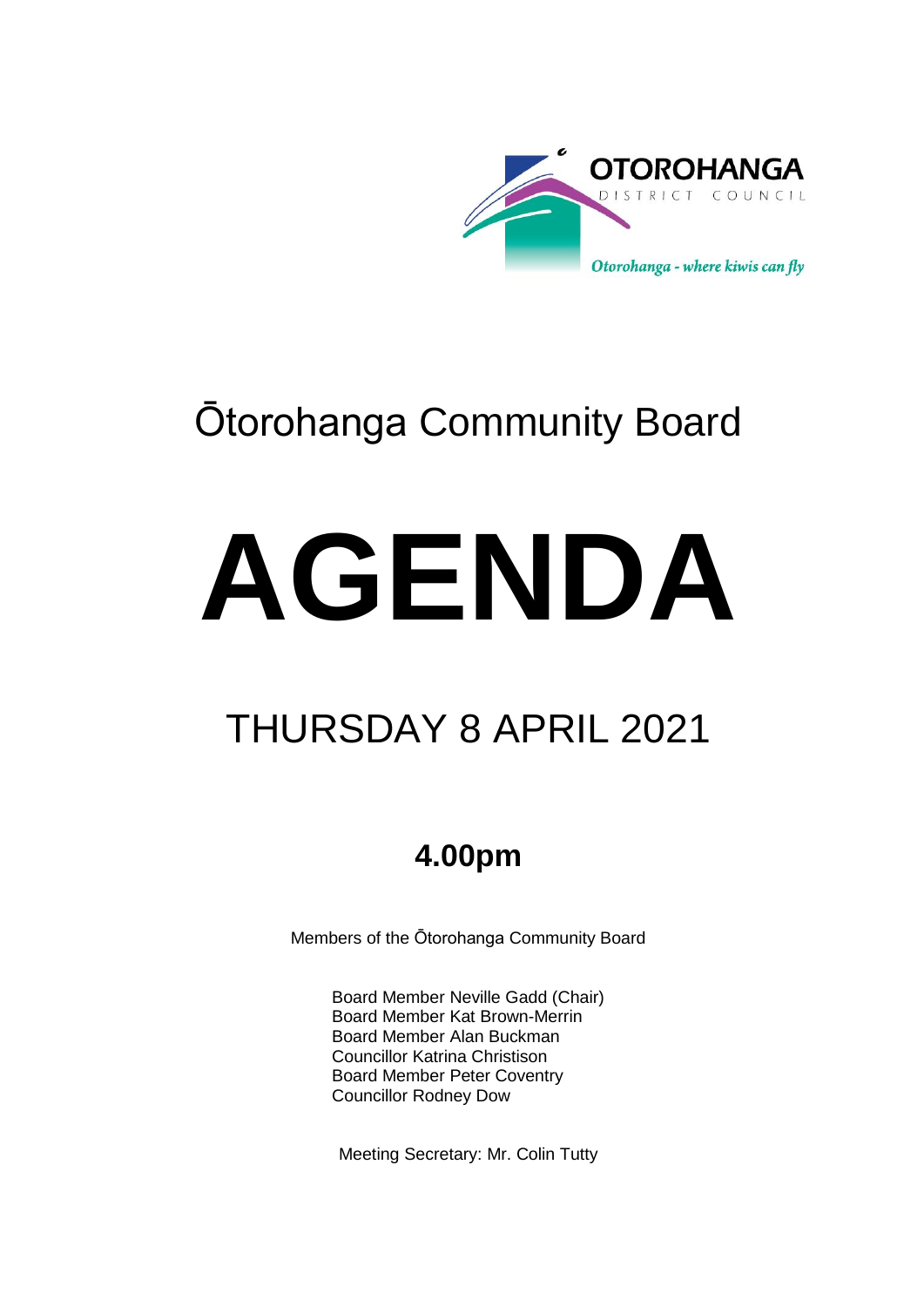

## Ōtorohanga Community Board

# **AGENDA**

## THURSDAY 8 APRIL 2021

### **4.00pm**

Members of the Ōtorohanga Community Board

Board Member Neville Gadd (Chair) Board Member Kat Brown-Merrin Board Member Alan Buckman Councillor Katrina Christison Board Member Peter Coventry Councillor Rodney Dow

Meeting Secretary: Mr. Colin Tutty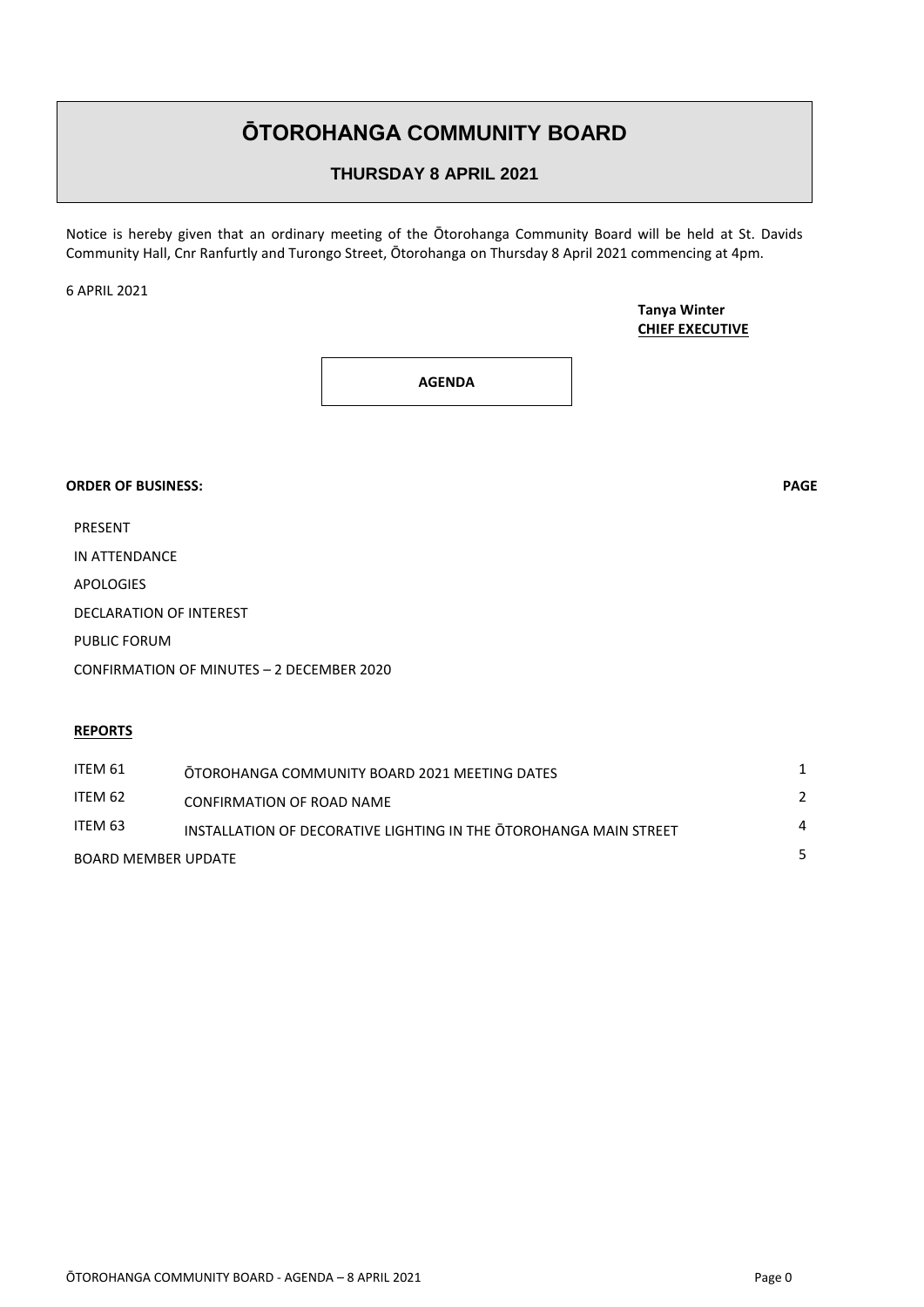#### **ŌTOROHANGA COMMUNITY BOARD**

#### **THURSDAY 8 APRIL 2021**

Notice is hereby given that an ordinary meeting of the Ōtorohanga Community Board will be held at St. Davids Community Hall, Cnr Ranfurtly and Turongo Street, Ōtorohanga on Thursday 8 April 2021 commencing at 4pm.

6 APRIL 2021

**Tanya Winter CHIEF EXECUTIVE**

**AGENDA**

#### **ORDER OF BUSINESS: PAGE**

PRESENT

IN ATTENDANCE

APOLOGIES

DECLARATION OF INTEREST

PUBLIC FORUM

CONFIRMATION OF MINUTES – 2 DECEMBER 2020

#### **REPORTS**

| ITEM 61             | OTOROHANGA COMMUNITY BOARD 2021 MEETING DATES                     |                |
|---------------------|-------------------------------------------------------------------|----------------|
| ITEM 62             | <b>CONFIRMATION OF ROAD NAME</b>                                  | $\mathcal{L}$  |
| ITEM 63             | INSTALLATION OF DECORATIVE LIGHTING IN THE OTOROHANGA MAIN STREET | $\overline{a}$ |
| BOARD MEMBER UPDATE |                                                                   |                |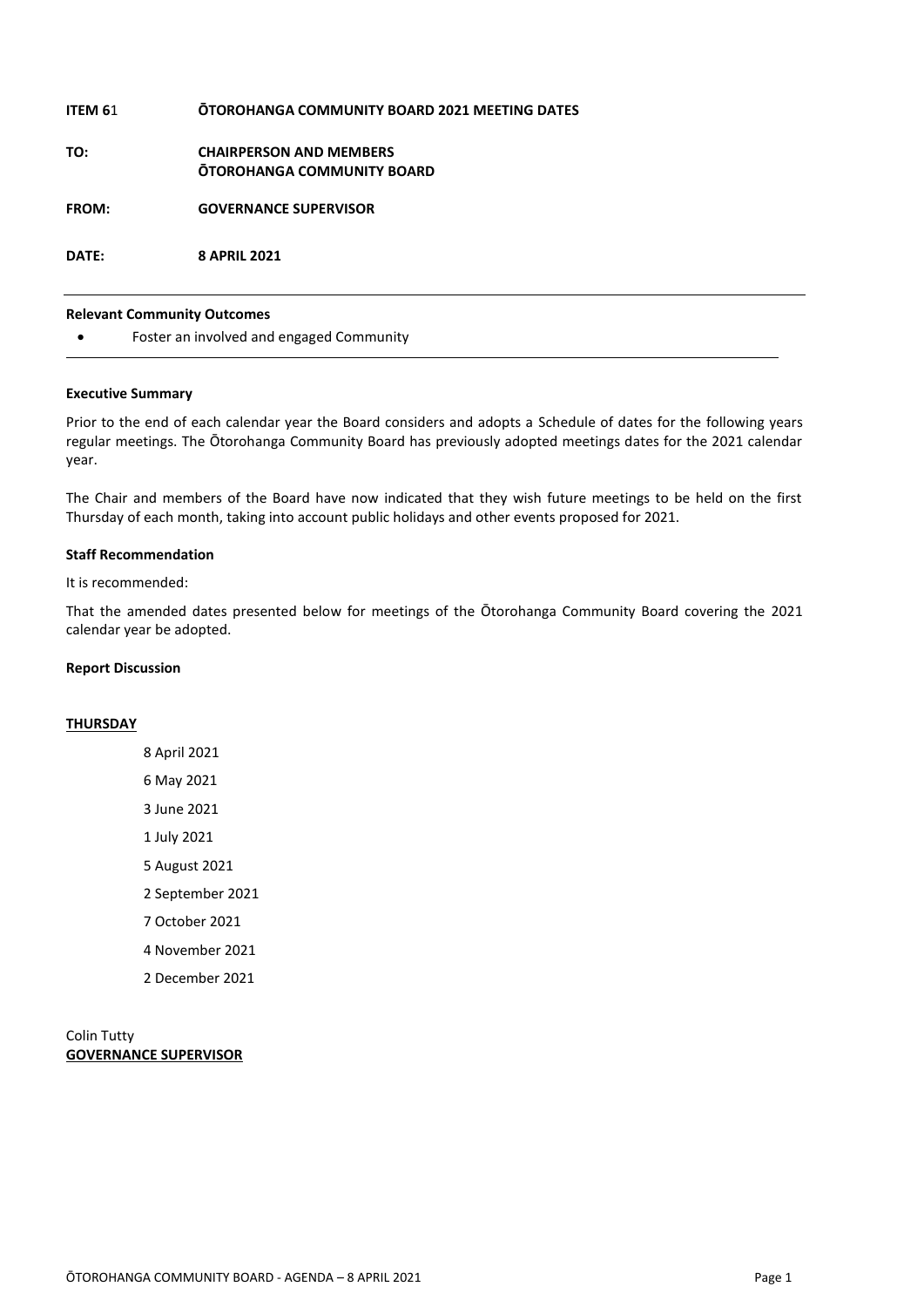| ITEM 61      | <b>OTOROHANGA COMMUNITY BOARD 2021 MEETING DATES</b>                |
|--------------|---------------------------------------------------------------------|
| TO:          | <b>CHAIRPERSON AND MEMBERS</b><br><b>OTOROHANGA COMMUNITY BOARD</b> |
| <b>FROM:</b> | <b>GOVERNANCE SUPERVISOR</b>                                        |
| DATE:        | <b>8 APRIL 2021</b>                                                 |

#### **Relevant Community Outcomes**

Foster an involved and engaged Community

#### **Executive Summary**

Prior to the end of each calendar year the Board considers and adopts a Schedule of dates for the following years regular meetings. The Ōtorohanga Community Board has previously adopted meetings dates for the 2021 calendar year.

The Chair and members of the Board have now indicated that they wish future meetings to be held on the first Thursday of each month, taking into account public holidays and other events proposed for 2021.

#### **Staff Recommendation**

It is recommended:

That the amended dates presented below for meetings of the Ōtorohanga Community Board covering the 2021 calendar year be adopted.

#### **Report Discussion**

#### **THURSDAY**

- 8 April 2021 6 May 2021 3 June 2021 1 July 2021 5 August 2021 2 September 2021 7 October 2021 4 November 2021
- 
- 2 December 2021

#### Colin Tutty **GOVERNANCE SUPERVISOR**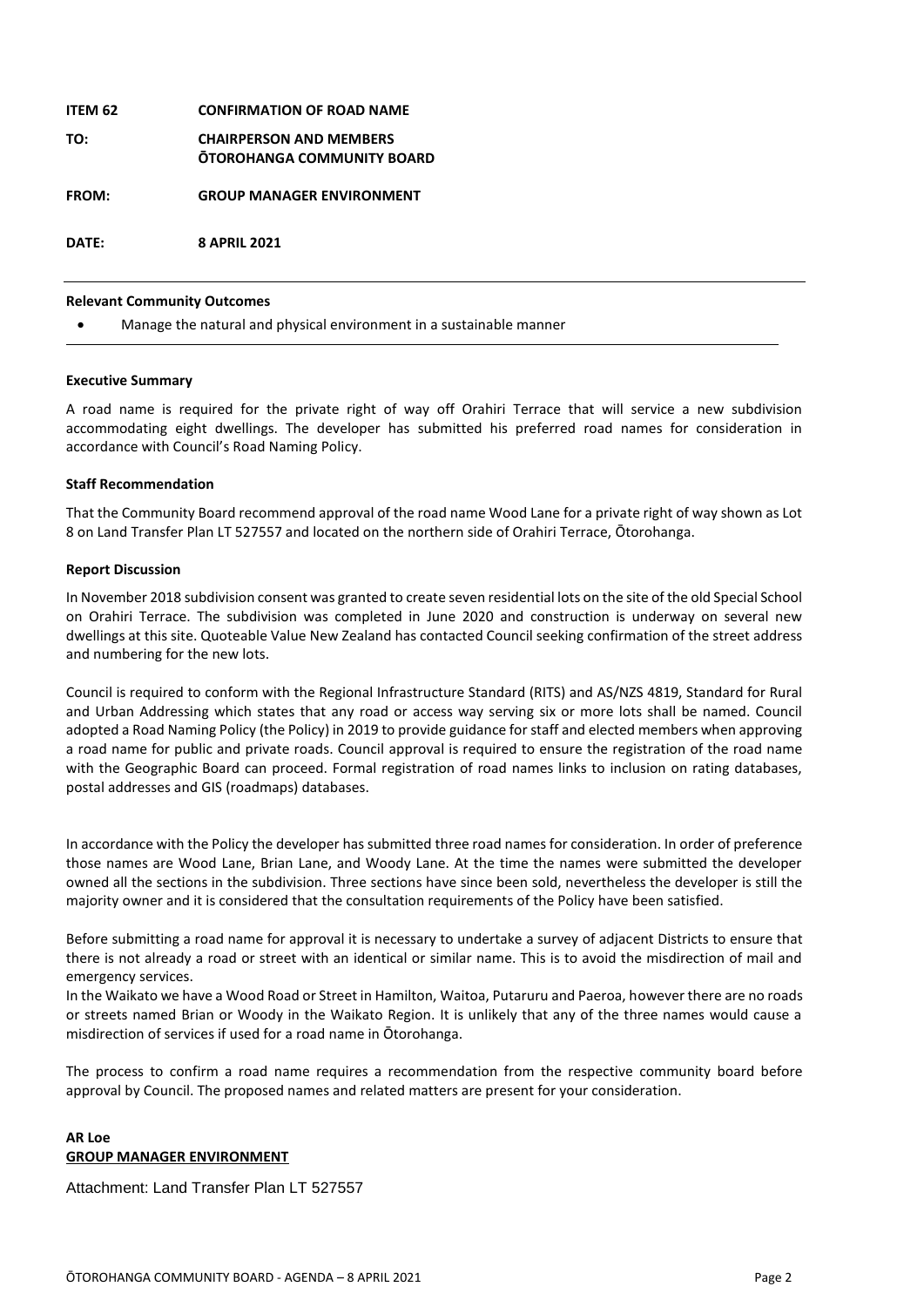| ITEM 62      | <b>CONFIRMATION OF ROAD NAME</b>                                    |
|--------------|---------------------------------------------------------------------|
| TO:          | <b>CHAIRPERSON AND MEMBERS</b><br><b>OTOROHANGA COMMUNITY BOARD</b> |
| <b>FROM:</b> | <b>GROUP MANAGER ENVIRONMENT</b>                                    |
| DATE:        | <b>8 APRIL 2021</b>                                                 |

#### **Relevant Community Outcomes**

Manage the natural and physical environment in a sustainable manner

#### **Executive Summary**

A road name is required for the private right of way off Orahiri Terrace that will service a new subdivision accommodating eight dwellings. The developer has submitted his preferred road names for consideration in accordance with Council's Road Naming Policy.

#### **Staff Recommendation**

That the Community Board recommend approval of the road name Wood Lane for a private right of way shown as Lot 8 on Land Transfer Plan LT 527557 and located on the northern side of Orahiri Terrace, Ōtorohanga.

#### **Report Discussion**

In November 2018 subdivision consent was granted to create seven residential lots on the site of the old Special School on Orahiri Terrace. The subdivision was completed in June 2020 and construction is underway on several new dwellings at this site. Quoteable Value New Zealand has contacted Council seeking confirmation of the street address and numbering for the new lots.

Council is required to conform with the Regional Infrastructure Standard (RITS) and AS/NZS 4819, Standard for Rural and Urban Addressing which states that any road or access way serving six or more lots shall be named. Council adopted a Road Naming Policy (the Policy) in 2019 to provide guidance for staff and elected members when approving a road name for public and private roads. Council approval is required to ensure the registration of the road name with the Geographic Board can proceed. Formal registration of road names links to inclusion on rating databases, postal addresses and GIS (roadmaps) databases.

In accordance with the Policy the developer has submitted three road names for consideration. In order of preference those names are Wood Lane, Brian Lane, and Woody Lane. At the time the names were submitted the developer owned all the sections in the subdivision. Three sections have since been sold, nevertheless the developer is still the majority owner and it is considered that the consultation requirements of the Policy have been satisfied.

Before submitting a road name for approval it is necessary to undertake a survey of adjacent Districts to ensure that there is not already a road or street with an identical or similar name. This is to avoid the misdirection of mail and emergency services.

In the Waikato we have a Wood Road or Street in Hamilton, Waitoa, Putaruru and Paeroa, however there are no roads or streets named Brian or Woody in the Waikato Region. It is unlikely that any of the three names would cause a misdirection of services if used for a road name in Ōtorohanga.

The process to confirm a road name requires a recommendation from the respective community board before approval by Council. The proposed names and related matters are present for your consideration.

#### **AR Loe GROUP MANAGER ENVIRONMENT**

Attachment: Land Transfer Plan LT 527557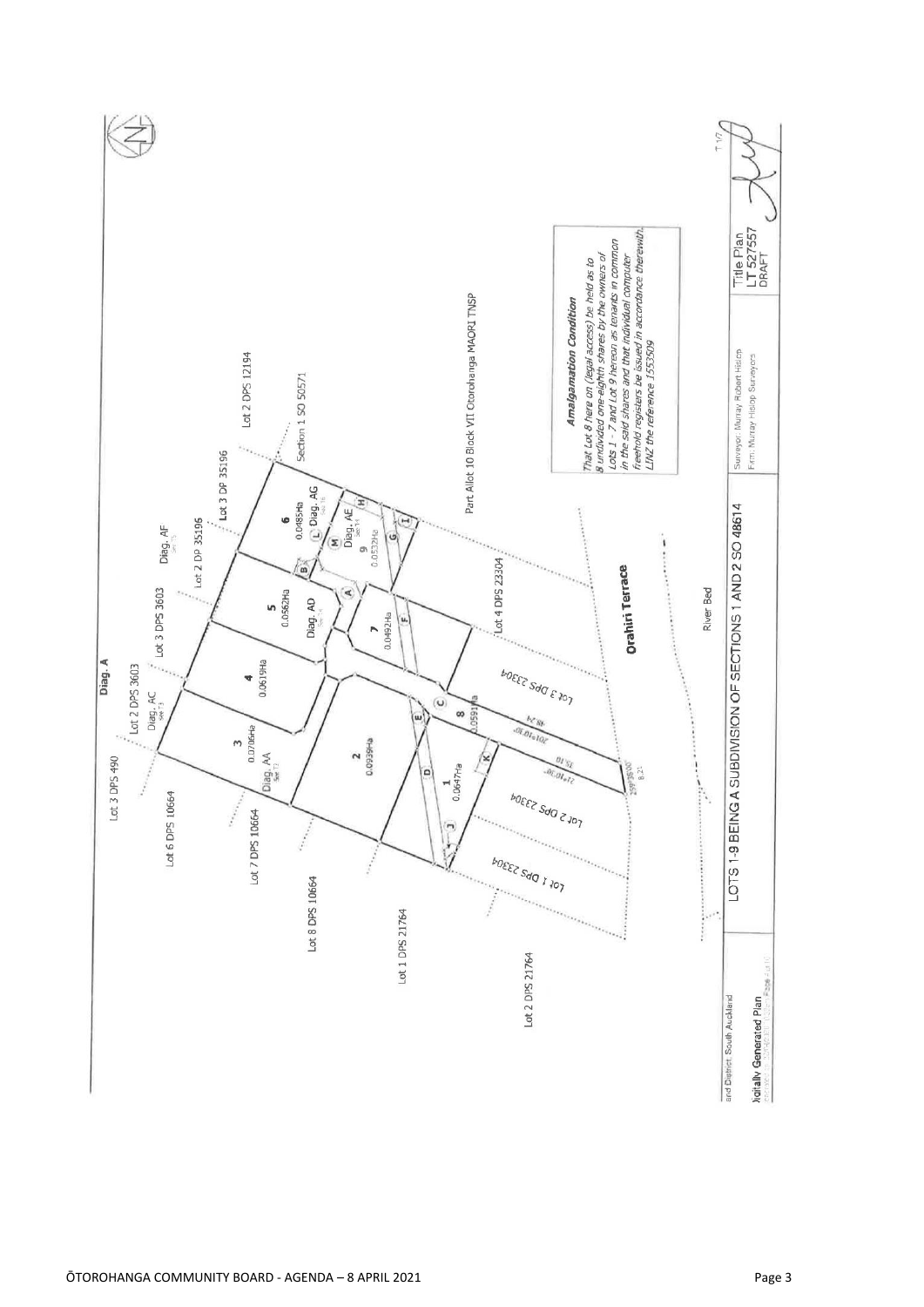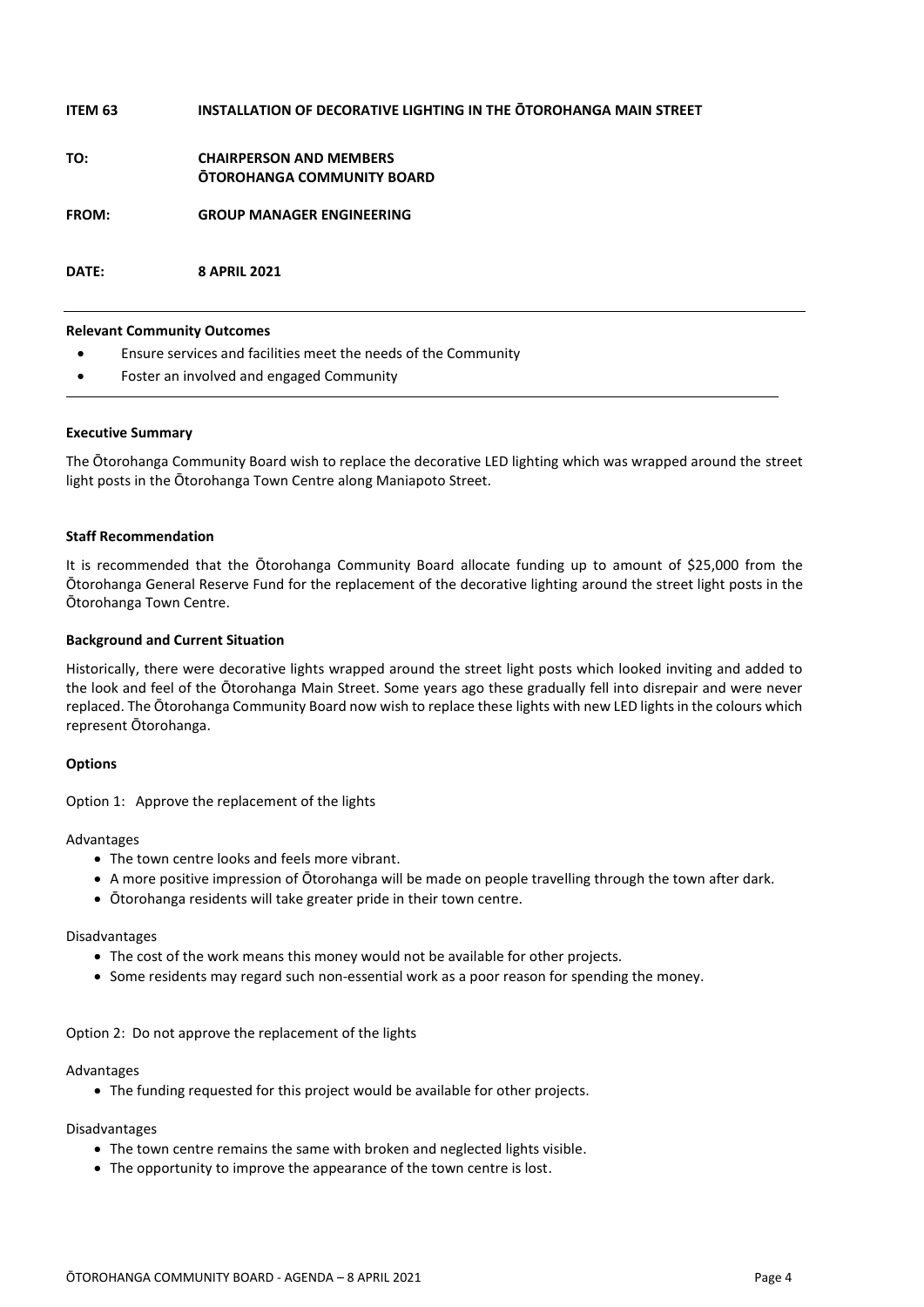| ITEM 63 | <b>INSTALLATION OF DECORATIVE LIGHTING IN THE OTOROHANGA MAIN STREET</b> |
|---------|--------------------------------------------------------------------------|
| TO:     | <b>CHAIRPERSON AND MEMBERS</b><br>OTOROHANGA COMMUNITY BOARD             |
| FROM:   | <b>GROUP MANAGER ENGINEERING</b>                                         |
| DATE:   | <b>8 APRIL 2021</b>                                                      |

#### **Relevant Community Outcomes**

- Ensure services and facilities meet the needs of the Community
- Foster an involved and engaged Community

#### **Executive Summary**

The Ōtorohanga Community Board wish to replace the decorative LED lighting which was wrapped around the street light posts in the Ōtorohanga Town Centre along Maniapoto Street.

#### **Staff Recommendation**

It is recommended that the Ōtorohanga Community Board allocate funding up to amount of \$25,000 from the Ōtorohanga General Reserve Fund for the replacement of the decorative lighting around the street light posts in the Ōtorohanga Town Centre.

#### **Background and Current Situation**

Historically, there were decorative lights wrapped around the street light posts which looked inviting and added to the look and feel of the Ōtorohanga Main Street. Some years ago these gradually fell into disrepair and were never replaced. The Ōtorohanga Community Board now wish to replace these lights with new LED lights in the colours which represent Ōtorohanga.

#### **Options**

Option 1: Approve the replacement of the lights

#### Advantages

- The town centre looks and feels more vibrant.
- A more positive impression of Ōtorohanga will be made on people travelling through the town after dark.
- Ōtorohanga residents will take greater pride in their town centre.

#### Disadvantages

- The cost of the work means this money would not be available for other projects.
- Some residents may regard such non-essential work as a poor reason for spending the money.

#### Option 2: Do not approve the replacement of the lights

#### Advantages

The funding requested for this project would be available for other projects.

#### Disadvantages

- The town centre remains the same with broken and neglected lights visible.
- The opportunity to improve the appearance of the town centre is lost.